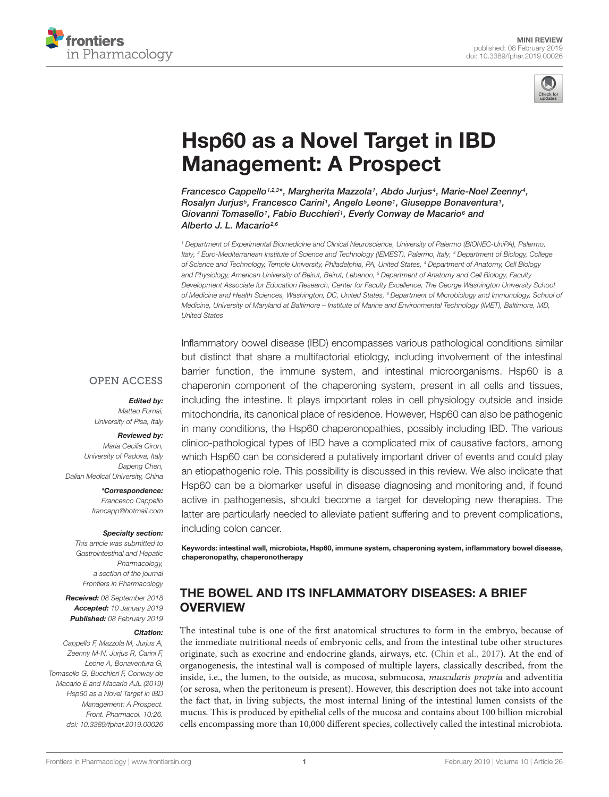



# [Hsp60 as a Novel Target in IBD](https://www.frontiersin.org/articles/10.3389/fphar.2019.00026/full) Management: A Prospect

[Francesco Cappello](http://loop.frontiersin.org/people/158484/overview)1,23\*, [Margherita Mazzola](http://loop.frontiersin.org/people/611917/overview)1, [Abdo Jurjus](http://loop.frontiersin.org/people/630515/overview)4, Marie-Noel Zeenny4, Rosalyn Jurjus<sup>5</sup>, Francesco Carini<sup>1</sup>, [Angelo Leone](http://loop.frontiersin.org/people/217997/overview)<sup>1</sup>, Giuseppe Bonaventura<sup>1</sup>, [Giovanni Tomasello](http://loop.frontiersin.org/people/343453/overview)<sup>1</sup>, Fabio Bucchieri<sup>1</sup>, [Everly Conway de Macario](http://loop.frontiersin.org/people/268622/overview)<sup>6</sup> and Alberto J. L. Macario<sup>2,6</sup>

<sup>1</sup> Department of Experimental Biomedicine and Clinical Neuroscience, University of Palermo (BIONEC-UniPA), Palermo, Italy, <sup>2</sup> Euro-Mediterranean Institute of Science and Technology (IEMEST), Palermo, Italy, <sup>3</sup> Department of Biology, College of Science and Technology, Temple University, Philadelphia, PA, United States, <sup>4</sup> Department of Anatomy, Cell Biology and Physiology, American University of Beirut, Beirut, Lebanon, <sup>5</sup> Department of Anatomy and Cell Biology, Faculty Development Associate for Education Research, Center for Faculty Excellence, The George Washington University School of Medicine and Health Sciences, Washington, DC, United States, <sup>6</sup> Department of Microbiology and Immunology, School of Medicine, University of Maryland at Baltimore – Institute of Marine and Environmental Technology (IMET), Baltimore, MD, United States

### **OPEN ACCESS**

#### Edited by:

Matteo Fornai, University of Pisa, Italy

#### Reviewed by:

Maria Cecilia Giron, University of Padova, Italy Dapeng Chen, Dalian Medical University, China

> \*Correspondence: Francesco Cappello francapp@hotmail.com

#### Specialty section:

This article was submitted to Gastrointestinal and Hepatic Pharmacology, a section of the journal Frontiers in Pharmacology

Received: 08 September 2018 Accepted: 10 January 2019 Published: 08 February 2019

#### Citation:

Cappello F, Mazzola M, Jurjus A, Zeenny M-N, Jurjus R, Carini F, Leone A, Bonaventura G, Tomasello G, Bucchieri F, Conway de Macario E and Macario AJL (2019) Hsp60 as a Novel Target in IBD Management: A Prospect. Front. Pharmacol. 10:26. doi: [10.3389/fphar.2019.00026](https://doi.org/10.3389/fphar.2019.00026) Inflammatory bowel disease (IBD) encompasses various pathological conditions similar but distinct that share a multifactorial etiology, including involvement of the intestinal barrier function, the immune system, and intestinal microorganisms. Hsp60 is a chaperonin component of the chaperoning system, present in all cells and tissues, including the intestine. It plays important roles in cell physiology outside and inside mitochondria, its canonical place of residence. However, Hsp60 can also be pathogenic in many conditions, the Hsp60 chaperonopathies, possibly including IBD. The various clinico-pathological types of IBD have a complicated mix of causative factors, among which Hsp60 can be considered a putatively important driver of events and could play an etiopathogenic role. This possibility is discussed in this review. We also indicate that Hsp60 can be a biomarker useful in disease diagnosing and monitoring and, if found active in pathogenesis, should become a target for developing new therapies. The latter are particularly needed to alleviate patient suffering and to prevent complications, including colon cancer.

Keywords: intestinal wall, microbiota, Hsp60, immune system, chaperoning system, inflammatory bowel disease, chaperonopathy, chaperonotherapy

# THE BOWEL AND ITS INFLAMMATORY DISEASES: A BRIEF **OVERVIEW**

The intestinal tube is one of the first anatomical structures to form in the embryo, because of the immediate nutritional needs of embryonic cells, and from the intestinal tube other structures originate, such as exocrine and endocrine glands, airways, etc. [\(Chin et al.,](#page-5-0) [2017\)](#page-5-0). At the end of organogenesis, the intestinal wall is composed of multiple layers, classically described, from the inside, i.e., the lumen, to the outside, as mucosa, submucosa, muscularis propria and adventitia (or serosa, when the peritoneum is present). However, this description does not take into account the fact that, in living subjects, the most internal lining of the intestinal lumen consists of the mucus. This is produced by epithelial cells of the mucosa and contains about 100 billion microbial cells encompassing more than 10,000 different species, collectively called the intestinal microbiota.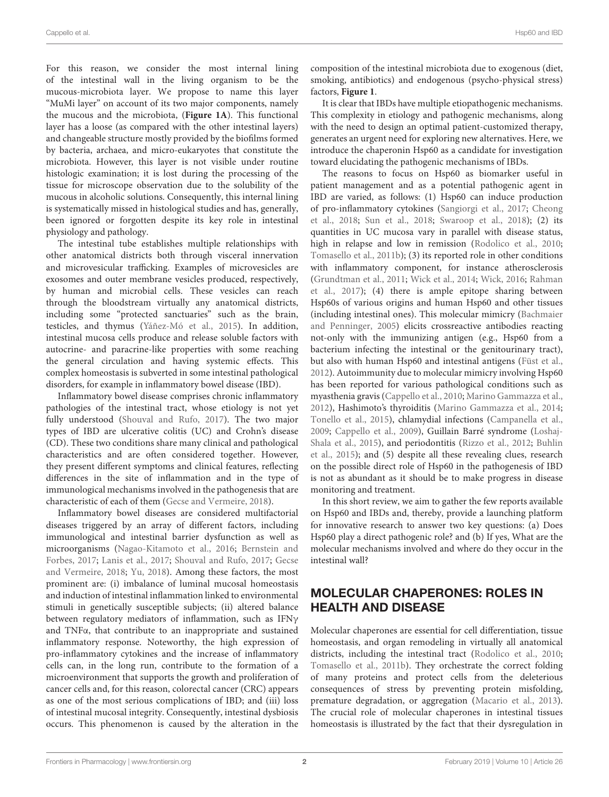For this reason, we consider the most internal lining of the intestinal wall in the living organism to be the mucous-microbiota layer. We propose to name this layer "MuMi layer" on account of its two major components, namely the mucous and the microbiota, (**[Figure 1A](#page-2-0)**). This functional layer has a loose (as compared with the other intestinal layers) and changeable structure mostly provided by the biofilms formed by bacteria, archaea, and micro-eukaryotes that constitute the microbiota. However, this layer is not visible under routine histologic examination; it is lost during the processing of the tissue for microscope observation due to the solubility of the mucous in alcoholic solutions. Consequently, this internal lining is systematically missed in histological studies and has, generally, been ignored or forgotten despite its key role in intestinal physiology and pathology.

The intestinal tube establishes multiple relationships with other anatomical districts both through visceral innervation and microvesicular trafficking. Examples of microvesicles are exosomes and outer membrane vesicles produced, respectively, by human and microbial cells. These vesicles can reach through the bloodstream virtually any anatomical districts, including some "protected sanctuaries" such as the brain, testicles, and thymus [\(Yáñez-Mó et al.,](#page-7-0) [2015\)](#page-7-0). In addition, intestinal mucosa cells produce and release soluble factors with autocrine- and paracrine-like properties with some reaching the general circulation and having systemic effects. This complex homeostasis is subverted in some intestinal pathological disorders, for example in inflammatory bowel disease (IBD).

Inflammatory bowel disease comprises chronic inflammatory pathologies of the intestinal tract, whose etiology is not yet fully understood [\(Shouval and Rufo,](#page-6-0) [2017\)](#page-6-0). The two major types of IBD are ulcerative colitis (UC) and Crohn's disease (CD). These two conditions share many clinical and pathological characteristics and are often considered together. However, they present different symptoms and clinical features, reflecting differences in the site of inflammation and in the type of immunological mechanisms involved in the pathogenesis that are characteristic of each of them [\(Gecse and Vermeire,](#page-6-1) [2018\)](#page-6-1).

Inflammatory bowel diseases are considered multifactorial diseases triggered by an array of different factors, including immunological and intestinal barrier dysfunction as well as microorganisms [\(Nagao-Kitamoto et al.,](#page-6-2) [2016;](#page-6-2) [Bernstein and](#page-5-1) [Forbes,](#page-5-1) [2017;](#page-5-1) [Lanis et al.,](#page-6-3) [2017;](#page-6-3) [Shouval and Rufo,](#page-6-0) [2017;](#page-6-0) [Gecse](#page-6-1) [and Vermeire,](#page-6-1) [2018;](#page-6-1) [Yu,](#page-7-1) [2018\)](#page-7-1). Among these factors, the most prominent are: (i) imbalance of luminal mucosal homeostasis and induction of intestinal inflammation linked to environmental stimuli in genetically susceptible subjects; (ii) altered balance between regulatory mediators of inflammation, such as IFNγ and TNFα, that contribute to an inappropriate and sustained inflammatory response. Noteworthy, the high expression of pro-inflammatory cytokines and the increase of inflammatory cells can, in the long run, contribute to the formation of a microenvironment that supports the growth and proliferation of cancer cells and, for this reason, colorectal cancer (CRC) appears as one of the most serious complications of IBD; and (iii) loss of intestinal mucosal integrity. Consequently, intestinal dysbiosis occurs. This phenomenon is caused by the alteration in the composition of the intestinal microbiota due to exogenous (diet, smoking, antibiotics) and endogenous (psycho-physical stress) factors, **[Figure 1](#page-2-0)**.

It is clear that IBDs have multiple etiopathogenic mechanisms. This complexity in etiology and pathogenic mechanisms, along with the need to design an optimal patient-customized therapy, generates an urgent need for exploring new alternatives. Here, we introduce the chaperonin Hsp60 as a candidate for investigation toward elucidating the pathogenic mechanisms of IBDs.

The reasons to focus on Hsp60 as biomarker useful in patient management and as a potential pathogenic agent in IBD are varied, as follows: (1) Hsp60 can induce production of pro-inflammatory cytokines [\(Sangiorgi et al.,](#page-6-4) [2017;](#page-6-4) [Cheong](#page-5-2) [et al.,](#page-5-2) [2018;](#page-5-2) [Sun et al.,](#page-6-5) [2018;](#page-6-5) [Swaroop et al.,](#page-6-6) [2018\)](#page-6-6); (2) its quantities in UC mucosa vary in parallel with disease status, high in relapse and low in remission [\(Rodolico et al.,](#page-6-7) [2010;](#page-6-7) [Tomasello et al.,](#page-7-2) [2011b\)](#page-7-2); (3) its reported role in other conditions with inflammatory component, for instance atherosclerosis [\(Grundtman et al.,](#page-6-8) [2011;](#page-6-8) [Wick et al.,](#page-7-3) [2014;](#page-7-3) [Wick,](#page-7-4) [2016;](#page-7-4) [Rahman](#page-6-9) [et al.,](#page-6-9) [2017\)](#page-6-9); (4) there is ample epitope sharing between Hsp60s of various origins and human Hsp60 and other tissues (including intestinal ones). This molecular mimicry [\(Bachmaier](#page-5-3) [and Penninger,](#page-5-3) [2005\)](#page-5-3) elicits crossreactive antibodies reacting not-only with the immunizing antigen (e.g., Hsp60 from a bacterium infecting the intestinal or the genitourinary tract), but also with human Hsp60 and intestinal antigens [\(Füst et al.,](#page-6-10) [2012\)](#page-6-10). Autoimmunity due to molecular mimicry involving Hsp60 has been reported for various pathological conditions such as myasthenia gravis [\(Cappello et al.,](#page-5-4) [2010;](#page-5-4) [Marino Gammazza et al.,](#page-6-11) [2012\)](#page-6-11), Hashimoto's thyroiditis [\(Marino Gammazza et al.,](#page-6-12) [2014;](#page-6-12) [Tonello et al.,](#page-7-5) [2015\)](#page-7-5), chlamydial infections [\(Campanella et al.,](#page-5-5) [2009;](#page-5-5) [Cappello et al.,](#page-5-6) [2009\)](#page-5-6), Guillain Barré syndrome [\(Loshaj-](#page-6-13)[Shala et al.,](#page-6-13) [2015\)](#page-6-13), and periodontitis [\(Rizzo et al.,](#page-6-14) [2012;](#page-6-14) [Buhlin](#page-5-7) [et al.,](#page-5-7) [2015\)](#page-5-7); and (5) despite all these revealing clues, research on the possible direct role of Hsp60 in the pathogenesis of IBD is not as abundant as it should be to make progress in disease monitoring and treatment.

In this short review, we aim to gather the few reports available on Hsp60 and IBDs and, thereby, provide a launching platform for innovative research to answer two key questions: (a) Does Hsp60 play a direct pathogenic role? and (b) If yes, What are the molecular mechanisms involved and where do they occur in the intestinal wall?

# MOLECULAR CHAPERONES: ROLES IN HEALTH AND DISEASE

Molecular chaperones are essential for cell differentiation, tissue homeostasis, and organ remodeling in virtually all anatomical districts, including the intestinal tract [\(Rodolico et al.,](#page-6-7) [2010;](#page-6-7) [Tomasello et al.,](#page-7-2) [2011b\)](#page-7-2). They orchestrate the correct folding of many proteins and protect cells from the deleterious consequences of stress by preventing protein misfolding, premature degradation, or aggregation [\(Macario et al.,](#page-6-15) [2013\)](#page-6-15). The crucial role of molecular chaperones in intestinal tissues homeostasis is illustrated by the fact that their dysregulation in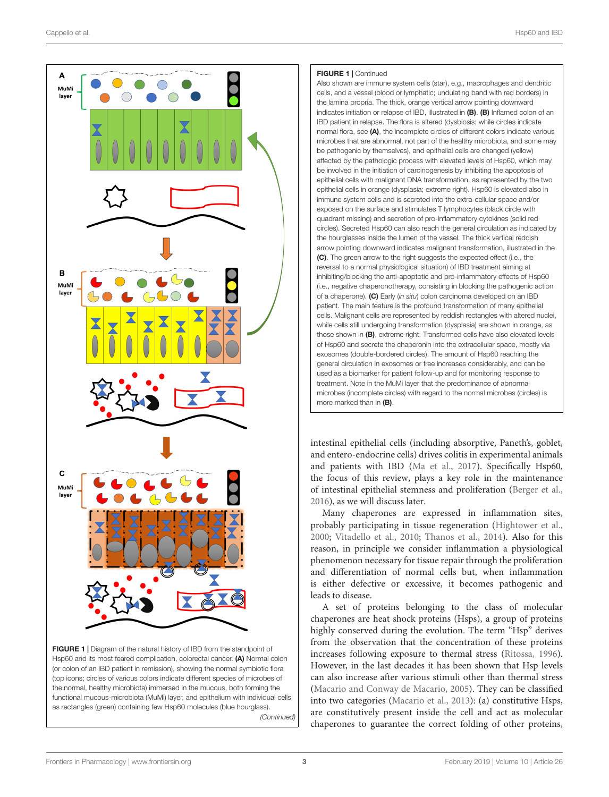

FIGURE 1 | Diagram of the natural history of IBD from the standpoint of Hsp60 and its most feared complication, colorectal cancer. (A) Normal colon (or colon of an IBD patient in remission), showing the normal symbiotic flora (top icons; circles of various colors indicate different species of microbes of the normal, healthy microbiota) immersed in the mucous, both forming the functional mucous-microbiota (MuMi) layer, and epithelium with individual cells as rectangles (green) containing few Hsp60 molecules (blue hourglass). (Continued)

#### <span id="page-2-0"></span>FIGURE 1 | Continued

Also shown are immune system cells (star), e.g., macrophages and dendritic cells, and a vessel (blood or lymphatic; undulating band with red borders) in the lamina propria. The thick, orange vertical arrow pointing downward indicates initiation or relapse of IBD, illustrated in (B). (B) Inflamed colon of an IBD patient in relapse. The flora is altered (dysbiosis; while circles indicate normal flora, see (A), the incomplete circles of different colors indicate various microbes that are abnormal, not part of the healthy microbiota, and some may be pathogenic by themselves), and epithelial cells are changed (yellow) affected by the pathologic process with elevated levels of Hsp60, which may be involved in the initiation of carcinogenesis by inhibiting the apoptosis of epithelial cells with malignant DNA transformation, as represented by the two epithelial cells in orange (dysplasia; extreme right). Hsp60 is elevated also in immune system cells and is secreted into the extra-cellular space and/or exposed on the surface and stimulates T lymphocytes (black circle with quadrant missing) and secretion of pro-inflammatory cytokines (solid red circles). Secreted Hsp60 can also reach the general circulation as indicated by the hourglasses inside the lumen of the vessel. The thick vertical reddish arrow pointing downward indicates malignant transformation, illustrated in the (C). The green arrow to the right suggests the expected effect (i.e., the reversal to a normal physiological situation) of IBD treatment aiming at inhibiting/blocking the anti-apoptotic and pro-inflammatory effects of Hsp60 (i.e., negative chaperonotherapy, consisting in blocking the pathogenic action of a chaperone). **(C)** Early *(in situ)* colon carcinoma developed on an IBD patient. The main feature is the profound transformation of many epithelial cells. Malignant cells are represented by reddish rectangles with altered nuclei, while cells still undergoing transformation (dysplasia) are shown in orange, as those shown in (B), extreme right. Transformed cells have also elevated levels of Hsp60 and secrete the chaperonin into the extracellular space, mostly via exosomes (double-bordered circles). The amount of Hsp60 reaching the general circulation in exosomes or free increases considerably, and can be used as a biomarker for patient follow-up and for monitoring response to treatment. Note in the MuMi layer that the predominance of abnormal microbes (incomplete circles) with regard to the normal microbes (circles) is more marked than in (B).

intestinal epithelial cells (including absorptive, Paneth's, goblet, and entero-endocrine cells) drives colitis in experimental animals and patients with IBD [\(Ma et al.,](#page-6-16) [2017\)](#page-6-16). Specifically Hsp60, the focus of this review, plays a key role in the maintenance of intestinal epithelial stemness and proliferation [\(Berger et al.,](#page-5-8) [2016\)](#page-5-8), as we will discuss later.

Many chaperones are expressed in inflammation sites, probably participating in tissue regeneration [\(Hightower et al.,](#page-6-17) [2000;](#page-6-17) [Vitadello et al.,](#page-7-6) [2010;](#page-7-6) [Thanos et al.,](#page-6-18) [2014\)](#page-6-18). Also for this reason, in principle we consider inflammation a physiological phenomenon necessary for tissue repair through the proliferation and differentiation of normal cells but, when inflammation is either defective or excessive, it becomes pathogenic and leads to disease.

A set of proteins belonging to the class of molecular chaperones are heat shock proteins (Hsps), a group of proteins highly conserved during the evolution. The term "Hsp" derives from the observation that the concentration of these proteins increases following exposure to thermal stress [\(Ritossa,](#page-6-19) [1996\)](#page-6-19). However, in the last decades it has been shown that Hsp levels can also increase after various stimuli other than thermal stress [\(Macario and Conway de Macario,](#page-6-20) [2005\)](#page-6-20). They can be classified into two categories [\(Macario et al.,](#page-6-15) [2013\)](#page-6-15): (a) constitutive Hsps, are constitutively present inside the cell and act as molecular chaperones to guarantee the correct folding of other proteins,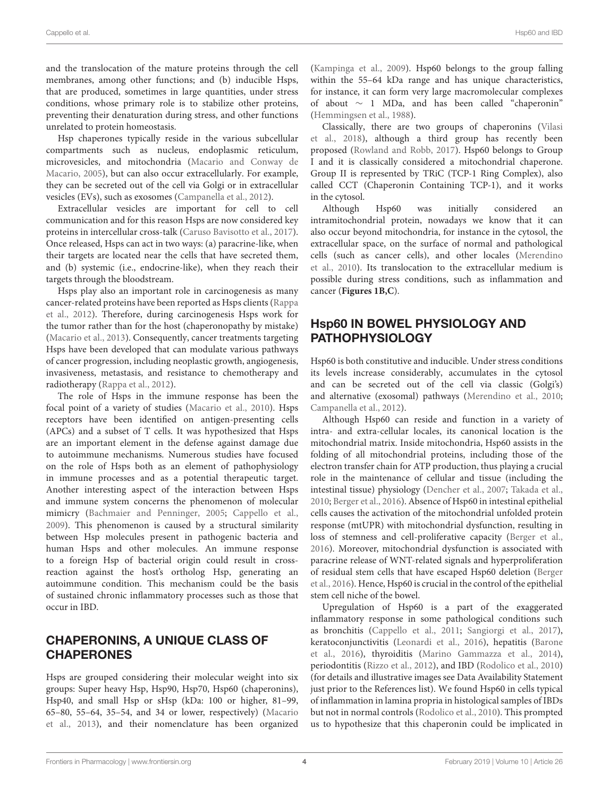and the translocation of the mature proteins through the cell membranes, among other functions; and (b) inducible Hsps, that are produced, sometimes in large quantities, under stress conditions, whose primary role is to stabilize other proteins, preventing their denaturation during stress, and other functions unrelated to protein homeostasis.

Hsp chaperones typically reside in the various subcellular compartments such as nucleus, endoplasmic reticulum, microvesicles, and mitochondria [\(Macario and Conway de](#page-6-20) [Macario,](#page-6-20) [2005\)](#page-6-20), but can also occur extracellularly. For example, they can be secreted out of the cell via Golgi or in extracellular vesicles (EVs), such as exosomes [\(Campanella et al.,](#page-5-9) [2012\)](#page-5-9).

Extracellular vesicles are important for cell to cell communication and for this reason Hsps are now considered key proteins in intercellular cross-talk [\(Caruso Bavisotto et al.,](#page-5-10) [2017\)](#page-5-10). Once released, Hsps can act in two ways: (a) paracrine-like, when their targets are located near the cells that have secreted them, and (b) systemic (i.e., endocrine-like), when they reach their targets through the bloodstream.

Hsps play also an important role in carcinogenesis as many cancer-related proteins have been reported as Hsps clients [\(Rappa](#page-6-21) [et al.,](#page-6-21) [2012\)](#page-6-21). Therefore, during carcinogenesis Hsps work for the tumor rather than for the host (chaperonopathy by mistake) [\(Macario et al.,](#page-6-15) [2013\)](#page-6-15). Consequently, cancer treatments targeting Hsps have been developed that can modulate various pathways of cancer progression, including neoplastic growth, angiogenesis, invasiveness, metastasis, and resistance to chemotherapy and radiotherapy [\(Rappa et al.,](#page-6-21) [2012\)](#page-6-21).

The role of Hsps in the immune response has been the focal point of a variety of studies [\(Macario et al.,](#page-6-22) [2010\)](#page-6-22). Hsps receptors have been identified on antigen-presenting cells (APCs) and a subset of T cells. It was hypothesized that Hsps are an important element in the defense against damage due to autoimmune mechanisms. Numerous studies have focused on the role of Hsps both as an element of pathophysiology in immune processes and as a potential therapeutic target. Another interesting aspect of the interaction between Hsps and immune system concerns the phenomenon of molecular mimicry [\(Bachmaier and Penninger,](#page-5-3) [2005;](#page-5-3) [Cappello et al.,](#page-5-6) [2009\)](#page-5-6). This phenomenon is caused by a structural similarity between Hsp molecules present in pathogenic bacteria and human Hsps and other molecules. An immune response to a foreign Hsp of bacterial origin could result in crossreaction against the host's ortholog Hsp, generating an autoimmune condition. This mechanism could be the basis of sustained chronic inflammatory processes such as those that occur in IBD.

# CHAPERONINS, A UNIQUE CLASS OF CHAPERONES

Hsps are grouped considering their molecular weight into six groups: Super heavy Hsp, Hsp90, Hsp70, Hsp60 (chaperonins), Hsp40, and small Hsp or sHsp (kDa: 100 or higher, 81–99, 65–80, 55–64, 35–54, and 34 or lower, respectively) [\(Macario](#page-6-15) [et al.,](#page-6-15) [2013\)](#page-6-15), and their nomenclature has been organized

[\(Kampinga et al.,](#page-6-23) [2009\)](#page-6-23). Hsp60 belongs to the group falling within the 55–64 kDa range and has unique characteristics, for instance, it can form very large macromolecular complexes of about ∼ 1 MDa, and has been called "chaperonin" [\(Hemmingsen et al.,](#page-6-24) [1988\)](#page-6-24).

Classically, there are two groups of chaperonins [\(Vilasi](#page-7-7) [et al.,](#page-7-7) [2018\)](#page-7-7), although a third group has recently been proposed [\(Rowland and Robb,](#page-6-25) [2017\)](#page-6-25). Hsp60 belongs to Group I and it is classically considered a mitochondrial chaperone. Group II is represented by TRiC (TCP-1 Ring Complex), also called CCT (Chaperonin Containing TCP-1), and it works in the cytosol.

Although Hsp60 was initially considered an intramitochondrial protein, nowadays we know that it can also occur beyond mitochondria, for instance in the cytosol, the extracellular space, on the surface of normal and pathological cells (such as cancer cells), and other locales [\(Merendino](#page-6-26) [et al.,](#page-6-26) [2010\)](#page-6-26). Its translocation to the extracellular medium is possible during stress conditions, such as inflammation and cancer (**[Figures 1B,C](#page-2-0)**).

# Hsp60 IN BOWEL PHYSIOLOGY AND PATHOPHYSIOLOGY

Hsp60 is both constitutive and inducible. Under stress conditions its levels increase considerably, accumulates in the cytosol and can be secreted out of the cell via classic (Golgi's) and alternative (exosomal) pathways [\(Merendino et al.,](#page-6-26) [2010;](#page-6-26) [Campanella et al.,](#page-5-9) [2012\)](#page-5-9).

Although Hsp60 can reside and function in a variety of intra- and extra-cellular locales, its canonical location is the mitochondrial matrix. Inside mitochondria, Hsp60 assists in the folding of all mitochondrial proteins, including those of the electron transfer chain for ATP production, thus playing a crucial role in the maintenance of cellular and tissue (including the intestinal tissue) physiology [\(Dencher et al.,](#page-5-11) [2007;](#page-5-11) [Takada et al.,](#page-6-27) [2010;](#page-6-27) [Berger et al.,](#page-5-8) [2016\)](#page-5-8). Absence of Hsp60 in intestinal epithelial cells causes the activation of the mitochondrial unfolded protein response (mtUPR) with mitochondrial dysfunction, resulting in loss of stemness and cell-proliferative capacity [\(Berger et al.,](#page-5-8) [2016\)](#page-5-8). Moreover, mitochondrial dysfunction is associated with paracrine release of WNT-related signals and hyperproliferation of residual stem cells that have escaped Hsp60 deletion [\(Berger](#page-5-8) [et al.,](#page-5-8) [2016\)](#page-5-8). Hence, Hsp60 is crucial in the control of the epithelial stem cell niche of the bowel.

Upregulation of Hsp60 is a part of the exaggerated inflammatory response in some pathological conditions such as bronchitis [\(Cappello et al.,](#page-5-12) [2011;](#page-5-12) [Sangiorgi et al.,](#page-6-4) [2017\)](#page-6-4), keratoconjunctivitis [\(Leonardi et al.,](#page-6-28) [2016\)](#page-6-28), hepatitis [\(Barone](#page-5-13) [et al.,](#page-5-13) [2016\)](#page-5-13), thyroiditis [\(Marino Gammazza et al.,](#page-6-12) [2014\)](#page-6-12), periodontitis [\(Rizzo et al.,](#page-6-14) [2012\)](#page-6-14), and IBD [\(Rodolico et al.,](#page-6-7) [2010\)](#page-6-7) (for details and illustrative images see Data Availability Statement just prior to the References list). We found Hsp60 in cells typical of inflammation in lamina propria in histological samples of IBDs but not in normal controls [\(Rodolico et al.,](#page-6-7) [2010\)](#page-6-7). This prompted us to hypothesize that this chaperonin could be implicated in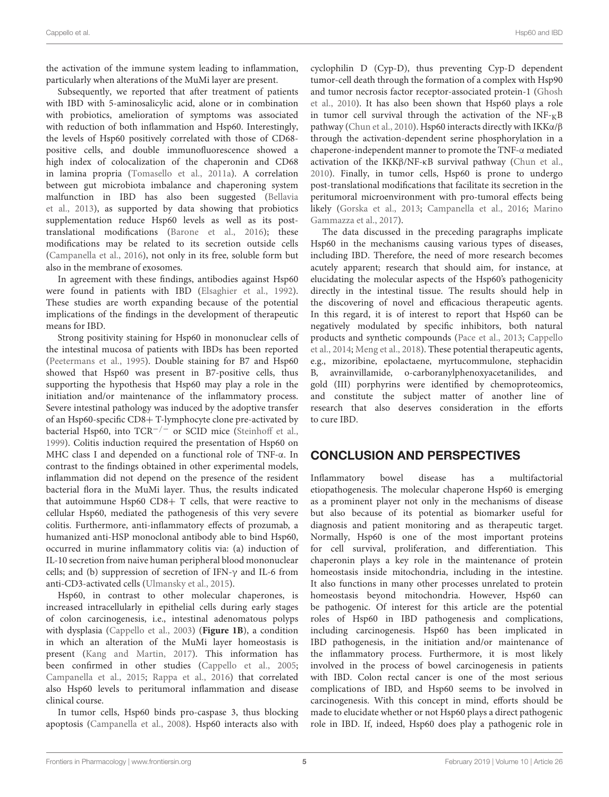the activation of the immune system leading to inflammation, particularly when alterations of the MuMi layer are present.

Subsequently, we reported that after treatment of patients with IBD with 5-aminosalicylic acid, alone or in combination with probiotics, amelioration of symptoms was associated with reduction of both inflammation and Hsp60. Interestingly, the levels of Hsp60 positively correlated with those of CD68 positive cells, and double immunofluorescence showed a high index of colocalization of the chaperonin and CD68 in lamina propria [\(Tomasello et al.,](#page-7-8) [2011a\)](#page-7-8). A correlation between gut microbiota imbalance and chaperoning system malfunction in IBD has also been suggested [\(Bellavia](#page-5-14) [et al.,](#page-5-14) [2013\)](#page-5-14), as supported by data showing that probiotics supplementation reduce Hsp60 levels as well as its posttranslational modifications [\(Barone et al.,](#page-5-13) [2016\)](#page-5-13); these modifications may be related to its secretion outside cells [\(Campanella et al.,](#page-5-15) [2016\)](#page-5-15), not only in its free, soluble form but also in the membrane of exosomes.

In agreement with these findings, antibodies against Hsp60 were found in patients with IBD [\(Elsaghier et al.,](#page-5-16) [1992\)](#page-5-16). These studies are worth expanding because of the potential implications of the findings in the development of therapeutic means for IBD.

Strong positivity staining for Hsp60 in mononuclear cells of the intestinal mucosa of patients with IBDs has been reported [\(Peetermans et al.,](#page-6-29) [1995\)](#page-6-29). Double staining for B7 and Hsp60 showed that Hsp60 was present in B7-positive cells, thus supporting the hypothesis that Hsp60 may play a role in the initiation and/or maintenance of the inflammatory process. Severe intestinal pathology was induced by the adoptive transfer of an Hsp60-specific CD8+ T-lymphocyte clone pre-activated by bacterial Hsp60, into  $TCR^{-/-}$  or SCID mice [\(Steinhoff et al.,](#page-6-30) [1999\)](#page-6-30). Colitis induction required the presentation of Hsp60 on MHC class I and depended on a functional role of TNF-α. In contrast to the findings obtained in other experimental models, inflammation did not depend on the presence of the resident bacterial flora in the MuMi layer. Thus, the results indicated that autoimmune Hsp60 CD8+ T cells, that were reactive to cellular Hsp60, mediated the pathogenesis of this very severe colitis. Furthermore, anti-inflammatory effects of prozumab, a humanized anti-HSP monoclonal antibody able to bind Hsp60, occurred in murine inflammatory colitis via: (a) induction of IL-10 secretion from naive human peripheral blood mononuclear cells; and (b) suppression of secretion of IFN-γ and IL-6 from anti-CD3-activated cells [\(Ulmansky et al.,](#page-7-9) [2015\)](#page-7-9).

Hsp60, in contrast to other molecular chaperones, is increased intracellularly in epithelial cells during early stages of colon carcinogenesis, i.e., intestinal adenomatous polyps with dysplasia [\(Cappello et al.,](#page-5-17) [2003\)](#page-5-17) (**[Figure 1B](#page-2-0)**), a condition in which an alteration of the MuMi layer homeostasis is present [\(Kang and Martin,](#page-6-31) [2017\)](#page-6-31). This information has been confirmed in other studies [\(Cappello et al.,](#page-5-18) [2005;](#page-5-18) [Campanella et al.,](#page-5-19) [2015;](#page-5-19) [Rappa et al.,](#page-6-32) [2016\)](#page-6-32) that correlated also Hsp60 levels to peritumoral inflammation and disease clinical course.

In tumor cells, Hsp60 binds pro-caspase 3, thus blocking apoptosis [\(Campanella et al.,](#page-5-20) [2008\)](#page-5-20). Hsp60 interacts also with

cyclophilin D (Cyp-D), thus preventing Cyp-D dependent tumor-cell death through the formation of a complex with Hsp90 and tumor necrosis factor receptor-associated protein-1 [\(Ghosh](#page-6-33) [et al.,](#page-6-33) [2010\)](#page-6-33). It has also been shown that Hsp60 plays a role in tumor cell survival through the activation of the  $NF-KB$ pathway [\(Chun et al.,](#page-5-21) [2010\)](#page-5-21). Hsp60 interacts directly with IKKα/β through the activation-dependent serine phosphorylation in a chaperone-independent manner to promote the TNF-α mediated activation of the IKKβ/NF-κB survival pathway [\(Chun et al.,](#page-5-21) [2010\)](#page-5-21). Finally, in tumor cells, Hsp60 is prone to undergo post-translational modifications that facilitate its secretion in the peritumoral microenvironment with pro-tumoral effects being likely [\(Gorska et al.,](#page-6-34) [2013;](#page-6-34) [Campanella et al.,](#page-5-15) [2016;](#page-5-15) [Marino](#page-6-35) [Gammazza et al.,](#page-6-35) [2017\)](#page-6-35).

The data discussed in the preceding paragraphs implicate Hsp60 in the mechanisms causing various types of diseases, including IBD. Therefore, the need of more research becomes acutely apparent; research that should aim, for instance, at elucidating the molecular aspects of the Hsp60's pathogenicity directly in the intestinal tissue. The results should help in the discovering of novel and efficacious therapeutic agents. In this regard, it is of interest to report that Hsp60 can be negatively modulated by specific inhibitors, both natural products and synthetic compounds [\(Pace et al.,](#page-6-36) [2013;](#page-6-36) [Cappello](#page-5-22) [et al.,](#page-5-22) [2014;](#page-5-22) [Meng et al.,](#page-6-37) [2018\)](#page-6-37). These potential therapeutic agents, e.g., mizoribine, epolactaene, myrtucommulone, stephacidin B, avrainvillamide, o-carboranylphenoxyacetanilides, and gold (III) porphyrins were identified by chemoproteomics, and constitute the subject matter of another line of research that also deserves consideration in the efforts to cure IBD.

# CONCLUSION AND PERSPECTIVES

Inflammatory bowel disease has a multifactorial etiopathogenesis. The molecular chaperone Hsp60 is emerging as a prominent player not only in the mechanisms of disease but also because of its potential as biomarker useful for diagnosis and patient monitoring and as therapeutic target. Normally, Hsp60 is one of the most important proteins for cell survival, proliferation, and differentiation. This chaperonin plays a key role in the maintenance of protein homeostasis inside mitochondria, including in the intestine. It also functions in many other processes unrelated to protein homeostasis beyond mitochondria. However, Hsp60 can be pathogenic. Of interest for this article are the potential roles of Hsp60 in IBD pathogenesis and complications, including carcinogenesis. Hsp60 has been implicated in IBD pathogenesis, in the initiation and/or maintenance of the inflammatory process. Furthermore, it is most likely involved in the process of bowel carcinogenesis in patients with IBD. Colon rectal cancer is one of the most serious complications of IBD, and Hsp60 seems to be involved in carcinogenesis. With this concept in mind, efforts should be made to elucidate whether or not Hsp60 plays a direct pathogenic role in IBD. If, indeed, Hsp60 does play a pathogenic role in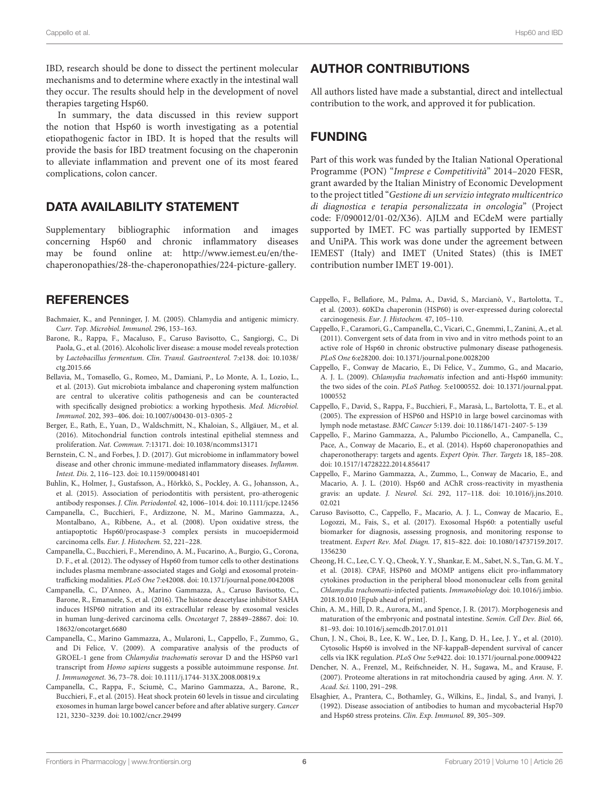IBD, research should be done to dissect the pertinent molecular mechanisms and to determine where exactly in the intestinal wall they occur. The results should help in the development of novel therapies targeting Hsp60.

In summary, the data discussed in this review support the notion that Hsp60 is worth investigating as a potential etiopathogenic factor in IBD. It is hoped that the results will provide the basis for IBD treatment focusing on the chaperonin to alleviate inflammation and prevent one of its most feared complications, colon cancer.

# DATA AVAILABILITY STATEMENT

Supplementary bibliographic information and images concerning Hsp60 and chronic inflammatory diseases may be found online at: [http://www.iemest.eu/en/the](http://www.iemest.eu/en/the-chaperonopathies/28-the-chaperonopathies/224-picture-gallery)[chaperonopathies/28-the-chaperonopathies/224-picture-gallery.](http://www.iemest.eu/en/the-chaperonopathies/28-the-chaperonopathies/224-picture-gallery)

### **REFERENCES**

- <span id="page-5-3"></span>Bachmaier, K., and Penninger, J. M. (2005). Chlamydia and antigenic mimicry. Curr. Top. Microbiol. Immunol. 296, 153–163.
- <span id="page-5-13"></span>Barone, R., Rappa, F., Macaluso, F., Caruso Bavisotto, C., Sangiorgi, C., Di Paola, G., et al. (2016). Alcoholic liver disease: a mouse model reveals protection by Lactobacillus fermentum. Clin. Transl. Gastroenterol. 7:e138. [doi: 10.1038/](https://doi.org/10.1038/ctg.2015.66) [ctg.2015.66](https://doi.org/10.1038/ctg.2015.66)
- <span id="page-5-14"></span>Bellavia, M., Tomasello, G., Romeo, M., Damiani, P., Lo Monte, A. I., Lozio, L., et al. (2013). Gut microbiota imbalance and chaperoning system malfunction are central to ulcerative colitis pathogenesis and can be counteracted with specifically designed probiotics: a working hypothesis. Med. Microbiol. Immunol. 202, 393–406. [doi: 10.1007/s00430-013-0305-2](https://doi.org/10.1007/s00430-013-0305-2)
- <span id="page-5-8"></span>Berger, E., Rath, E., Yuan, D., Waldschmitt, N., Khaloian, S., Allgäuer, M., et al. (2016). Mitochondrial function controls intestinal epithelial stemness and proliferation. Nat. Commun. 7:13171. [doi: 10.1038/ncomms13171](https://doi.org/10.1038/ncomms13171)
- <span id="page-5-1"></span>Bernstein, C. N., and Forbes, J. D. (2017). Gut microbiome in inflammatory bowel disease and other chronic immune-mediated inflammatory diseases. Inflamm. Intest. Dis. 2, 116–123. [doi: 10.1159/000481401](https://doi.org/10.1159/000481401)
- <span id="page-5-7"></span>Buhlin, K., Holmer, J., Gustafsson, A., Hörkkö, S., Pockley, A. G., Johansson, A., et al. (2015). Association of periodontitis with persistent, pro-atherogenic antibody responses. J. Clin. Periodontol. 42, 1006–1014. [doi: 10.1111/jcpe.12456](https://doi.org/10.1111/jcpe.12456)
- <span id="page-5-20"></span>Campanella, C., Bucchieri, F., Ardizzone, N. M., Marino Gammazza, A., Montalbano, A., Ribbene, A., et al. (2008). Upon oxidative stress, the antiapoptotic Hsp60/procaspase-3 complex persists in mucoepidermoid carcinoma cells. Eur. J. Histochem. 52, 221–228.
- <span id="page-5-9"></span>Campanella, C., Bucchieri, F., Merendino, A. M., Fucarino, A., Burgio, G., Corona, D. F., et al. (2012). The odyssey of Hsp60 from tumor cells to other destinations includes plasma membrane-associated stages and Golgi and exosomal proteintrafficking modalities. PLoS One 7:e42008. [doi: 10.1371/journal.pone.0042008](https://doi.org/10.1371/journal.pone.0042008)
- <span id="page-5-15"></span>Campanella, C., D'Anneo, A., Marino Gammazza, A., Caruso Bavisotto, C., Barone, R., Emanuele, S., et al. (2016). The histone deacetylase inhibitor SAHA induces HSP60 nitration and its extracellular release by exosomal vesicles in human lung-derived carcinoma cells. Oncotarget 7, 28849–28867. [doi: 10.](https://doi.org/10.18632/oncotarget.6680) [18632/oncotarget.6680](https://doi.org/10.18632/oncotarget.6680)
- <span id="page-5-5"></span>Campanella, C., Marino Gammazza, A., Mularoni, L., Cappello, F., Zummo, G., and Di Felice, V. (2009). A comparative analysis of the products of GROEL-1 gene from Chlamydia trachomatis serovar D and the HSP60 var1 transcript from Homo sapiens suggests a possible autoimmune response. Int. J. Immunogenet. 36, 73–78. [doi: 10.1111/j.1744-313X.2008.00819.x](https://doi.org/10.1111/j.1744-313X.2008.00819.x)
- <span id="page-5-19"></span>Campanella, C., Rappa, F., Sciumè, C., Marino Gammazza, A., Barone, R., Bucchieri, F., et al. (2015). Heat shock protein 60 levels in tissue and circulating exosomes in human large bowel cancer before and after ablative surgery. Cancer 121, 3230–3239. [doi: 10.1002/cncr.29499](https://doi.org/10.1002/cncr.29499)

## AUTHOR CONTRIBUTIONS

All authors listed have made a substantial, direct and intellectual contribution to the work, and approved it for publication.

# FUNDING

Part of this work was funded by the Italian National Operational Programme (PON) "Imprese e Competitività" 2014–2020 FESR, grant awarded by the Italian Ministry of Economic Development to the project titled "Gestione di un servizio integrato multicentrico di diagnostica e terapia personalizzata in oncologia" (Project code: F/090012/01-02/X36). AJLM and ECdeM were partially supported by IMET. FC was partially supported by IEMEST and UniPA. This work was done under the agreement between IEMEST (Italy) and IMET (United States) (this is IMET contribution number IMET 19-001).

- <span id="page-5-17"></span>Cappello, F., Bellafiore, M., Palma, A., David, S., Marcianò, V., Bartolotta, T., et al. (2003). 60KDa chaperonin (HSP60) is over-expressed during colorectal carcinogenesis. Eur. J. Histochem. 47, 105–110.
- <span id="page-5-12"></span>Cappello, F., Caramori, G., Campanella, C., Vicari, C., Gnemmi, I., Zanini, A., et al. (2011). Convergent sets of data from in vivo and in vitro methods point to an active role of Hsp60 in chronic obstructive pulmonary disease pathogenesis. PLoS One 6:e28200. [doi: 10.1371/journal.pone.0028200](https://doi.org/10.1371/journal.pone.0028200)
- <span id="page-5-6"></span>Cappello, F., Conway de Macario, E., Di Felice, V., Zummo, G., and Macario, A. J. L. (2009). Chlamydia trachomatis infection and anti-Hsp60 immunity: the two sides of the coin. PLoS Pathog. 5:e1000552. [doi: 10.1371/journal.ppat.](https://doi.org/10.1371/journal.ppat.1000552) [1000552](https://doi.org/10.1371/journal.ppat.1000552)
- <span id="page-5-18"></span>Cappello, F., David, S., Rappa, F., Bucchieri, F., Marasà, L., Bartolotta, T. E., et al. (2005). The expression of HSP60 and HSP10 in large bowel carcinomas with lymph node metastase. BMC Cancer 5:139. [doi: 10.1186/1471-2407-5-139](https://doi.org/10.1186/1471-2407-5-139)
- <span id="page-5-22"></span>Cappello, F., Marino Gammazza, A., Palumbo Piccionello, A., Campanella, C., Pace, A., Conway de Macario, E., et al. (2014). Hsp60 chaperonopathies and chaperonotherapy: targets and agents. Expert Opin. Ther. Targets 18, 185–208. [doi: 10.1517/14728222.2014.856417](https://doi.org/10.1517/14728222.2014.856417)
- <span id="page-5-4"></span>Cappello, F., Marino Gammazza, A., Zummo, L., Conway de Macario, E., and Macario, A. J. L. (2010). Hsp60 and AChR cross-reactivity in myasthenia gravis: an update. J. Neurol. Sci. 292, 117–118. [doi: 10.1016/j.jns.2010.](https://doi.org/10.1016/j.jns.2010.02.021) [02.021](https://doi.org/10.1016/j.jns.2010.02.021)
- <span id="page-5-10"></span>Caruso Bavisotto, C., Cappello, F., Macario, A. J. L., Conway de Macario, E., Logozzi, M., Fais, S., et al. (2017). Exosomal Hsp60: a potentially useful biomarker for diagnosis, assessing prognosis, and monitoring response to treatment. Expert Rev. Mol. Diagn. 17, 815–822. [doi: 10.1080/14737159.2017.](https://doi.org/10.1080/14737159.2017.1356230) [1356230](https://doi.org/10.1080/14737159.2017.1356230)
- <span id="page-5-2"></span>Cheong, H. C., Lee, C. Y. Q., Cheok, Y. Y., Shankar, E. M., Sabet, N. S., Tan, G. M. Y., et al. (2018). CPAF, HSP60 and MOMP antigens elicit pro-inflammatory cytokines production in the peripheral blood mononuclear cells from genital Chlamydia trachomatis-infected patients. Immunobiology [doi: 10.1016/j.imbio.](https://doi.org/10.1016/j.imbio.2018.10.010) [2018.10.010](https://doi.org/10.1016/j.imbio.2018.10.010) [Epub ahead of print].
- <span id="page-5-0"></span>Chin, A. M., Hill, D. R., Aurora, M., and Spence, J. R. (2017). Morphogenesis and maturation of the embryonic and postnatal intestine. Semin. Cell Dev. Biol. 66, 81–93. [doi: 10.1016/j.semcdb.2017.01.011](https://doi.org/10.1016/j.semcdb.2017.01.011)
- <span id="page-5-21"></span>Chun, J. N., Choi, B., Lee, K. W., Lee, D. J., Kang, D. H., Lee, J. Y., et al. (2010). Cytosolic Hsp60 is involved in the NF-kappaB-dependent survival of cancer cells via IKK regulation. PLoS One 5:e9422. [doi: 10.1371/journal.pone.0009422](https://doi.org/10.1371/journal.pone.0009422)
- <span id="page-5-11"></span>Dencher, N. A., Frenzel, M., Reifschneider, N. H., Sugawa, M., and Krause, F. (2007). Proteome alterations in rat mitochondria caused by aging. Ann. N. Y. Acad. Sci. 1100, 291–298.
- <span id="page-5-16"></span>Elsaghier, A., Prantera, C., Bothamley, G., Wilkins, E., Jindal, S., and Ivanyi, J. (1992). Disease association of antibodies to human and mycobacterial Hsp70 and Hsp60 stress proteins. Clin. Exp. Immunol. 89, 305–309.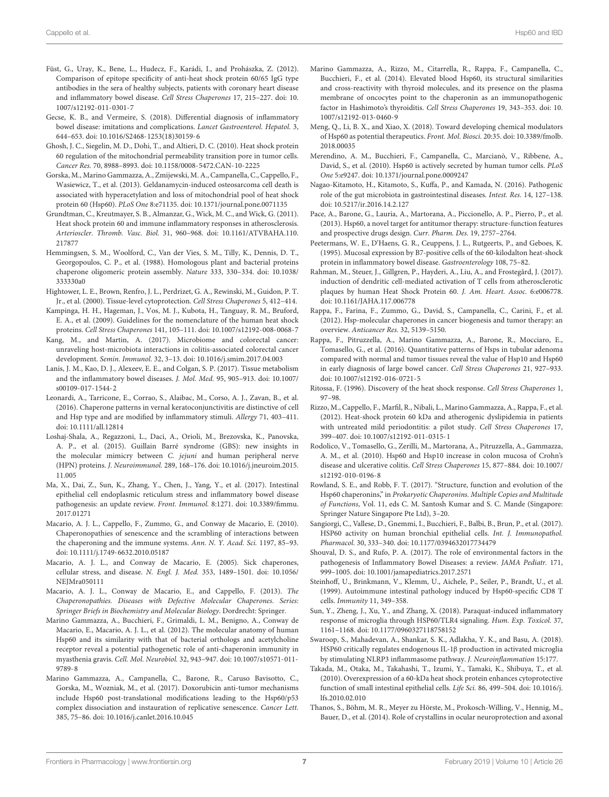- <span id="page-6-10"></span>Füst, G., Uray, K., Bene, L., Hudecz, F., Karádi, I., and Prohászka, Z. (2012). Comparison of epitope specificity of anti-heat shock protein 60/65 IgG type antibodies in the sera of healthy subjects, patients with coronary heart disease and inflammatory bowel disease. Cell Stress Chaperones 17, 215–227. [doi: 10.](https://doi.org/10.1007/s12192-011-0301-7) [1007/s12192-011-0301-7](https://doi.org/10.1007/s12192-011-0301-7)
- <span id="page-6-1"></span>Gecse, K. B., and Vermeire, S. (2018). Differential diagnosis of inflammatory bowel disease: imitations and complications. Lancet Gastroenterol. Hepatol. 3, 644–653. [doi: 10.1016/S2468-1253\(18\)30159-6](https://doi.org/10.1016/S2468-1253(18)30159-6)
- <span id="page-6-33"></span>Ghosh, J. C., Siegelin, M. D., Dohi, T., and Altieri, D. C. (2010). Heat shock protein 60 regulation of the mitochondrial permeability transition pore in tumor cells. Cancer Res. 70, 8988–8993. [doi: 10.1158/0008-5472.CAN-10-2225](https://doi.org/10.1158/0008-5472.CAN-10-2225)
- <span id="page-6-34"></span>Gorska, M., Marino Gammazza, A., Zmijewski, M. A., Campanella, C., Cappello, F., Wasiewicz, T., et al. (2013). Geldanamycin-induced osteosarcoma cell death is associated with hyperacetylation and loss of mitochondrial pool of heat shock protein 60 (Hsp60). PLoS One 8:e71135. [doi: 10.1371/journal.pone.0071135](https://doi.org/10.1371/journal.pone.0071135)
- <span id="page-6-8"></span>Grundtman, C., Kreutmayer, S. B., Almanzar, G., Wick, M. C., and Wick, G. (2011). Heat shock protein 60 and immune inflammatory responses in atherosclerosis. Arterioscler. Thromb. Vasc. Biol. 31, 960–968. [doi: 10.1161/ATVBAHA.110.](https://doi.org/10.1161/ATVBAHA.110.217877) [217877](https://doi.org/10.1161/ATVBAHA.110.217877)
- <span id="page-6-24"></span>Hemmingsen, S. M., Woolford, C., Van der Vies, S. M., Tilly, K., Dennis, D. T., Georgopoulos, C. P., et al. (1988). Homologous plant and bacterial proteins chaperone oligomeric protein assembly. Nature 333, 330–334. [doi: 10.1038/](https://doi.org/10.1038/333330a0) [333330a0](https://doi.org/10.1038/333330a0)
- <span id="page-6-17"></span>Hightower, L. E., Brown, Renfro, J. L., Perdrizet, G. A., Rewinski, M., Guidon, P. T. Jr., et al. (2000). Tissue-level cytoprotection. Cell Stress Chaperones 5, 412–414.
- <span id="page-6-23"></span>Kampinga, H. H., Hageman, J., Vos, M. J., Kubota, H., Tanguay, R. M., Bruford, E. A., et al. (2009). Guidelines for the nomenclature of the human heat shock proteins. Cell Stress Chaperones 141, 105–111. [doi: 10.1007/s12192-008-0068-7](https://doi.org/10.1007/s12192-008-0068-7)
- <span id="page-6-31"></span>Kang, M., and Martin, A. (2017). Microbiome and colorectal cancer: unraveling host-microbiota interactions in colitis-associated colorectal cancer development. Semin. Immunol. 32, 3–13. [doi: 10.1016/j.smim.2017.04.003](https://doi.org/10.1016/j.smim.2017.04.003)
- <span id="page-6-3"></span>Lanis, J. M., Kao, D. J., Alexeev, E. E., and Colgan, S. P. (2017). Tissue metabolism and the inflammatory bowel diseases. J. Mol. Med. 95, 905–913. [doi: 10.1007/](https://doi.org/10.1007/s00109-017-1544-2) [s00109-017-1544-2](https://doi.org/10.1007/s00109-017-1544-2)
- <span id="page-6-28"></span>Leonardi, A., Tarricone, E., Corrao, S., Alaibac, M., Corso, A. J., Zavan, B., et al. (2016). Chaperone patterns in vernal keratoconjunctivitis are distinctive of cell and Hsp type and are modified by inflammatory stimuli. Allergy 71, 403–411. [doi: 10.1111/all.12814](https://doi.org/10.1111/all.12814)
- <span id="page-6-13"></span>Loshaj-Shala, A., Regazzoni, L., Daci, A., Orioli, M., Brezovska, K., Panovska, A. P., et al. (2015). Guillain Barré syndrome (GBS): new insights in the molecular mimicry between C. jejuni and human peripheral nerve (HPN) proteins. J. Neuroimmunol. 289, 168–176. [doi: 10.1016/j.jneuroim.2015.](https://doi.org/10.1016/j.jneuroim.2015.11.005) [11.005](https://doi.org/10.1016/j.jneuroim.2015.11.005)
- <span id="page-6-16"></span>Ma, X., Dai, Z., Sun, K., Zhang, Y., Chen, J., Yang, Y., et al. (2017). Intestinal epithelial cell endoplasmic reticulum stress and inflammatory bowel disease pathogenesis: an update review. Front. Immunol. 8:1271. [doi: 10.3389/fimmu.](https://doi.org/10.3389/fimmu.2017.01271) [2017.01271](https://doi.org/10.3389/fimmu.2017.01271)
- <span id="page-6-22"></span>Macario, A. J. L., Cappello, F., Zummo, G., and Conway de Macario, E. (2010). Chaperonopathies of senescence and the scrambling of interactions between the chaperoning and the immune systems. Ann. N. Y. Acad. Sci. 1197, 85–93. [doi: 10.1111/j.1749-6632.2010.05187](https://doi.org/10.1111/j.1749-6632.2010.05187)
- <span id="page-6-20"></span>Macario, A. J. L., and Conway de Macario, E. (2005). Sick chaperones, cellular stress, and disease. N. Engl. J. Med. 353, 1489–1501. [doi: 10.1056/](https://doi.org/10.1056/NEJMra050111) [NEJMra050111](https://doi.org/10.1056/NEJMra050111)
- <span id="page-6-15"></span>Macario, A. J. L., Conway de Macario, E., and Cappello, F. (2013). The Chaperonopathies. Diseases with Defective Molecular Chaperones. Series: Springer Briefs in Biochemistry and Molecular Biology. Dordrecht: Springer.
- <span id="page-6-11"></span>Marino Gammazza, A., Bucchieri, F., Grimaldi, L. M., Benigno, A., Conway de Macario, E., Macario, A. J. L., et al. (2012). The molecular anatomy of human Hsp60 and its similarity with that of bacterial orthologs and acetylcholine receptor reveal a potential pathogenetic role of anti-chaperonin immunity in myasthenia gravis. Cell. Mol. Neurobiol. 32, 943–947. [doi: 10.1007/s10571-011-](https://doi.org/10.1007/s10571-011-9789-8) [9789-8](https://doi.org/10.1007/s10571-011-9789-8)
- <span id="page-6-35"></span>Marino Gammazza, A., Campanella, C., Barone, R., Caruso Bavisotto, C., Gorska, M., Wozniak, M., et al. (2017). Doxorubicin anti-tumor mechanisms include Hsp60 post-translational modifications leading to the Hsp60/p53 complex dissociation and instauration of replicative senescence. Cancer Lett. 385, 75–86. [doi: 10.1016/j.canlet.2016.10.045](https://doi.org/10.1016/j.canlet.2016.10.045)
- <span id="page-6-12"></span>Marino Gammazza, A., Rizzo, M., Citarrella, R., Rappa, F., Campanella, C., Bucchieri, F., et al. (2014). Elevated blood Hsp60, its structural similarities and cross-reactivity with thyroid molecules, and its presence on the plasma membrane of oncocytes point to the chaperonin as an immunopathogenic factor in Hashimoto's thyroiditis. Cell Stress Chaperones 19, 343–353. [doi: 10.](https://doi.org/10.1007/s12192-013-0460-9) [1007/s12192-013-0460-9](https://doi.org/10.1007/s12192-013-0460-9)
- <span id="page-6-37"></span>Meng, Q., Li, B. X., and Xiao, X. (2018). Toward developing chemical modulators of Hsp60 as potential therapeutics. Front. Mol. Biosci. 20:35. [doi: 10.3389/fmolb.](https://doi.org/10.3389/fmolb.2018.00035) [2018.00035](https://doi.org/10.3389/fmolb.2018.00035)
- <span id="page-6-26"></span>Merendino, A. M., Bucchieri, F., Campanella, C., Marcianò, V., Ribbene, A., David, S., et al. (2010). Hsp60 is actively secreted by human tumor cells. PLoS One 5:e9247. [doi: 10.1371/journal.pone.0009247](https://doi.org/10.1371/journal.pone.0009247)
- <span id="page-6-2"></span>Nagao-Kitamoto, H., Kitamoto, S., Kuffa, P., and Kamada, N. (2016). Pathogenic role of the gut microbiota in gastrointestinal diseases. Intest. Res. 14, 127–138. [doi: 10.5217/ir.2016.14.2.127](https://doi.org/10.5217/ir.2016.14.2.127)
- <span id="page-6-36"></span>Pace, A., Barone, G., Lauria, A., Martorana, A., Piccionello, A. P., Pierro, P., et al. (2013). Hsp60, a novel target for antitumor therapy: structure-function features and prospective drugs design. Curr. Pharm. Des. 19, 2757–2764.
- <span id="page-6-29"></span>Peetermans, W. E., D'Haens, G. R., Ceuppens, J. L., Rutgeerts, P., and Geboes, K. (1995). Mucosal expression by B7-positive cells of the 60-kilodalton heat-shock protein in inflammatory bowel disease. Gastroenterology 108, 75–82.
- <span id="page-6-9"></span>Rahman, M., Steuer, J., Gillgren, P., Hayderi, A., Liu, A., and Frostegård, J. (2017). induction of dendritic cell-mediated activation of T cells from atherosclerotic plaques by human Heat Shock Protein 60. J. Am. Heart. Assoc. 6:e006778. [doi: 10.1161/JAHA.117.006778](https://doi.org/10.1161/JAHA.117.006778)
- <span id="page-6-21"></span>Rappa, F., Farina, F., Zummo, G., David, S., Campanella, C., Carini, F., et al. (2012). Hsp-molecular chaperones in cancer biogenesis and tumor therapy: an overview. Anticancer Res. 32, 5139–5150.
- <span id="page-6-32"></span>Rappa, F., Pitruzzella, A., Marino Gammazza, A., Barone, R., Mocciaro, E., Tomasello, G., et al. (2016). Quantitative patterns of Hsps in tubular adenoma compared with normal and tumor tissues reveal the value of Hsp10 and Hsp60 in early diagnosis of large bowel cancer. Cell Stress Chaperones 21, 927–933. [doi: 10.1007/s12192-016-0721-5](https://doi.org/10.1007/s12192-016-0721-5)
- <span id="page-6-19"></span>Ritossa, F. (1996). Discovery of the heat shock response. Cell Stress Chaperones 1, 97–98.
- <span id="page-6-14"></span>Rizzo, M., Cappello, F., Marfil, R., Nibali, L., Marino Gammazza, A., Rappa, F., et al. (2012). Heat-shock protein 60 kDa and atherogenic dyslipidemia in patients with untreated mild periodontitis: a pilot study. Cell Stress Chaperones 17, 399–407. [doi: 10.1007/s12192-011-0315-1](https://doi.org/10.1007/s12192-011-0315-1)
- <span id="page-6-7"></span>Rodolico, V., Tomasello, G., Zerilli, M., Martorana, A., Pitruzzella, A., Gammazza, A. M., et al. (2010). Hsp60 and Hsp10 increase in colon mucosa of Crohn's disease and ulcerative colitis. Cell Stress Chaperones 15, 877–884. [doi: 10.1007/](https://doi.org/10.1007/s12192-010-0196-8) [s12192-010-0196-8](https://doi.org/10.1007/s12192-010-0196-8)
- <span id="page-6-25"></span>Rowland, S. E., and Robb, F. T. (2017). "Structure, function and evolution of the Hsp60 chaperonins," in Prokaryotic Chaperonins. Multiple Copies and Multitude of Functions, Vol. 11, eds C. M. Santosh Kumar and S. C. Mande (Singapore: Springer Nature Singapore Pte Ltd), 3–20.
- <span id="page-6-4"></span>Sangiorgi, C., Vallese, D., Gnemmi, I., Bucchieri, F., Balbi, B., Brun, P., et al. (2017). HSP60 activity on human bronchial epithelial cells. Int. J. Immunopathol. Pharmacol. 30, 333–340. [doi: 10.1177/0394632017734479](https://doi.org/10.1177/0394632017734479)
- <span id="page-6-0"></span>Shouval, D. S., and Rufo, P. A. (2017). The role of environmental factors in the pathogenesis of Inflammatory Bowel Diseases: a review. JAMA Pediatr. 171, 999–1005. [doi: 10.1001/jamapediatrics.2017.2571](https://doi.org/10.1001/jamapediatrics.2017.2571)
- <span id="page-6-30"></span>Steinhoff, U., Brinkmann, V., Klemm, U., Aichele, P., Seiler, P., Brandt, U., et al. (1999). Autoimmune intestinal pathology induced by Hsp60-specific CD8 T cells. Immunity 11, 349–358.
- <span id="page-6-5"></span>Sun, Y., Zheng, J., Xu, Y., and Zhang, X. (2018). Paraquat-induced inflammatory response of microglia through HSP60/TLR4 signaling. Hum. Exp. Toxicol. 37, 1161–1168. [doi: 10.1177/0960327118758152](https://doi.org/10.1177/0960327118758152)
- <span id="page-6-6"></span>Swaroop, S., Mahadevan, A., Shankar, S. K., Adlakha, Y. K., and Basu, A. (2018). HSP60 critically regulates endogenous IL-1β production in activated microglia by stimulating NLRP3 inflammasome pathway. J. Neuroinflammation 15:177.
- <span id="page-6-27"></span>Takada, M., Otaka, M., Takahashi, T., Izumi, Y., Tamaki, K., Shibuya, T., et al. (2010). Overexpression of a 60-kDa heat shock protein enhances cytoprotective function of small intestinal epithelial cells. Life Sci. 86, 499–504. [doi: 10.1016/j.](https://doi.org/10.1016/j.lfs.2010.02.010) [lfs.2010.02.010](https://doi.org/10.1016/j.lfs.2010.02.010)
- <span id="page-6-18"></span>Thanos, S., Böhm, M. R., Meyer zu Hörste, M., Prokosch-Willing, V., Hennig, M., Bauer, D., et al. (2014). Role of crystallins in ocular neuroprotection and axonal